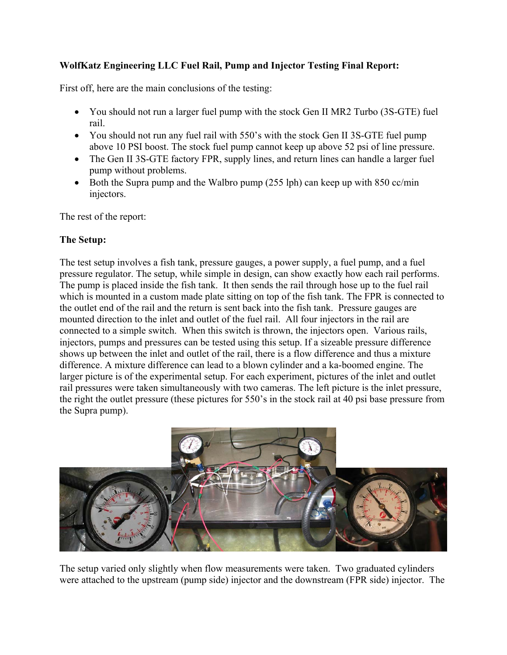# **WolfKatz Engineering LLC Fuel Rail, Pump and Injector Testing Final Report:**

First off, here are the main conclusions of the testing:

- You should not run a larger fuel pump with the stock Gen II MR2 Turbo (3S-GTE) fuel rail.
- You should not run any fuel rail with 550's with the stock Gen II 3S-GTE fuel pump above 10 PSI boost. The stock fuel pump cannot keep up above 52 psi of line pressure.
- The Gen II 3S-GTE factory FPR, supply lines, and return lines can handle a larger fuel pump without problems.
- Both the Supra pump and the Walbro pump (255 lph) can keep up with 850 cc/min injectors.

The rest of the report:

## **The Setup:**

The test setup involves a fish tank, pressure gauges, a power supply, a fuel pump, and a fuel pressure regulator. The setup, while simple in design, can show exactly how each rail performs. The pump is placed inside the fish tank. It then sends the rail through hose up to the fuel rail which is mounted in a custom made plate sitting on top of the fish tank. The FPR is connected to the outlet end of the rail and the return is sent back into the fish tank. Pressure gauges are mounted direction to the inlet and outlet of the fuel rail. All four injectors in the rail are connected to a simple switch. When this switch is thrown, the injectors open. Various rails, injectors, pumps and pressures can be tested using this setup. If a sizeable pressure difference shows up between the inlet and outlet of the rail, there is a flow difference and thus a mixture difference. A mixture difference can lead to a blown cylinder and a ka-boomed engine. The larger picture is of the experimental setup. For each experiment, pictures of the inlet and outlet rail pressures were taken simultaneously with two cameras. The left picture is the inlet pressure, the right the outlet pressure (these pictures for 550's in the stock rail at 40 psi base pressure from the Supra pump).



The setup varied only slightly when flow measurements were taken. Two graduated cylinders were attached to the upstream (pump side) injector and the downstream (FPR side) injector. The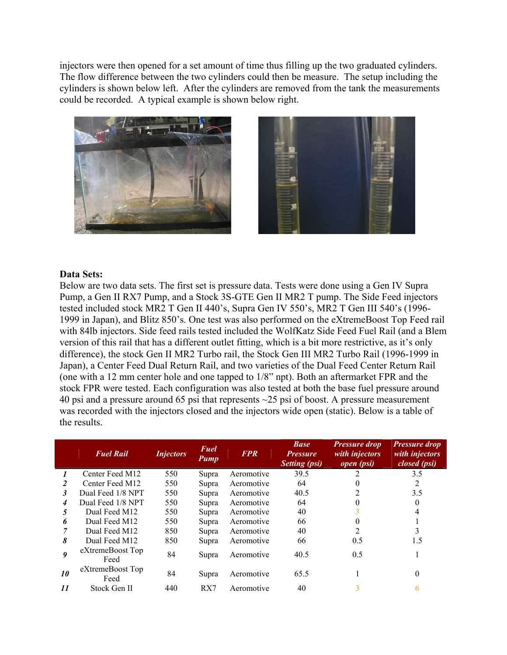injectors were then opened for a set amount of time thus filling up the two graduated cylinders. The flow difference between the two cylinders could then be measure. The setup including the cylinders is shown below left. After the cylinders are removed from the tank the measurements could be recorded. A typical example is shown below right.





#### **Data Sets:**

Below are two data sets. The first set is pressure data. Tests were done using a Gen IV Supra Pump, a Gen II RX7 Pump, and a Stock 3S-GTE Gen II MR2 T pump. The Side Feed injectors tested included stock MR2 T Gen II 440's, Supra Gen IV 550's, MR2 T Gen III 540's (1996- 1999 in Japan), and Blitz 850's. One test was also performed on the eXtremeBoost Top Feed rail with 84lb injectors. Side feed rails tested included the WolfKatz Side Feed Fuel Rail (and a Blem version of this rail that has a different outlet fitting, which is a bit more restrictive, as it's only difference), the stock Gen II MR2 Turbo rail, the Stock Gen III MR2 Turbo Rail (1996-1999 in Japan), a Center Feed Dual Return Rail, and two varieties of the Dual Feed Center Return Rail (one with a 12 mm center hole and one tapped to 1/8" npt). Both an aftermarket FPR and the stock FPR were tested. Each configuration was also tested at both the base fuel pressure around 40 psi and a pressure around 65 psi that represents ~25 psi of boost. A pressure measurement was recorded with the injectors closed and the injectors wide open (static). Below is a table of the results.

|    | <b>Fuel Rail</b>         | <i>Injectors</i> | Fuel<br><b>Pump</b> | <b>FPR</b> | <b>Base</b><br><i>Pressure</i><br><b>Setting (psi)</b> | <b>Pressure drop</b><br>with injectors<br>open (psi) | <b>Pressure drop</b><br>with injectors<br>closed (psi) |
|----|--------------------------|------------------|---------------------|------------|--------------------------------------------------------|------------------------------------------------------|--------------------------------------------------------|
|    | Center Feed M12          | 550              | Supra               | Aeromotive | 39.5                                                   | 2                                                    | 3.5                                                    |
| 2  | Center Feed M12          | 550              | Supra               | Aeromotive | 64                                                     |                                                      | 2                                                      |
| 3  | Dual Feed 1/8 NPT        | 550              | Supra               | Aeromotive | 40.5                                                   |                                                      | 3.5                                                    |
| 4  | Dual Feed 1/8 NPT        | 550              | Supra               | Aeromotive | 64                                                     |                                                      |                                                        |
| 5  | Dual Feed M12            | 550              | Supra               | Aeromotive | 40                                                     |                                                      | 4                                                      |
| 6  | Dual Feed M12            | 550              | Supra               | Aeromotive | 66                                                     |                                                      |                                                        |
|    | Dual Feed M12            | 850              | Supra               | Aeromotive | 40                                                     | າ                                                    | 3                                                      |
| 8  | Dual Feed M12            | 850              | Supra               | Aeromotive | 66                                                     | 0.5                                                  | 1.5                                                    |
| 9  | eXtremeBoost Top<br>Feed | 84               | Supra               | Aeromotive | 40.5                                                   | 0.5                                                  |                                                        |
| 10 | eXtremeBoost Top<br>Feed | 84               | Supra               | Aeromotive | 65.5                                                   |                                                      | $\Omega$                                               |
| 11 | Stock Gen II             | 440              | RX7                 | Aeromotive | 40                                                     | 3                                                    |                                                        |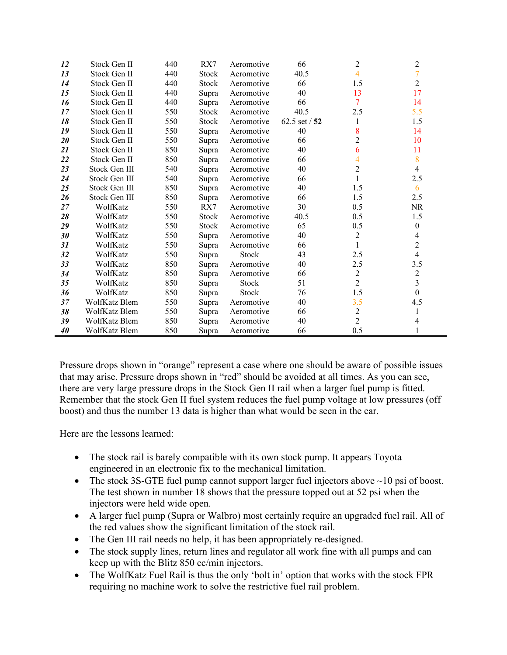| 12     | Stock Gen II  | 440 | RX7          | Aeromotive | 66            | $\overline{2}$ | $\overline{c}$   |
|--------|---------------|-----|--------------|------------|---------------|----------------|------------------|
| 13     | Stock Gen II  | 440 | <b>Stock</b> | Aeromotive | 40.5          | 4              | $\overline{7}$   |
| 14     | Stock Gen II  | 440 | <b>Stock</b> | Aeromotive | 66            | 1.5            | $\overline{2}$   |
| 15     | Stock Gen II  | 440 | Supra        | Aeromotive | 40            | 13             | 17               |
| 16     | Stock Gen II  | 440 | Supra        | Aeromotive | 66            | 7              | 14               |
| 17     | Stock Gen II  | 550 | <b>Stock</b> | Aeromotive | 40.5          | 2.5            | 5.5              |
| 18     | Stock Gen II  | 550 | <b>Stock</b> | Aeromotive | 62.5 set / 52 | 1              | 1.5              |
| 19     | Stock Gen II  | 550 | Supra        | Aeromotive | 40            | 8              | 14               |
| $20\,$ | Stock Gen II  | 550 | Supra        | Aeromotive | 66            | $\overline{c}$ | 10               |
| 21     | Stock Gen II  | 850 | Supra        | Aeromotive | 40            | 6              | 11               |
| 22     | Stock Gen II  | 850 | Supra        | Aeromotive | 66            | 4              | 8                |
| 23     | Stock Gen III | 540 | Supra        | Aeromotive | 40            | $\overline{2}$ | $\overline{4}$   |
| 24     | Stock Gen III | 540 | Supra        | Aeromotive | 66            | 1              | 2.5              |
| 25     | Stock Gen III | 850 | Supra        | Aeromotive | 40            | 1.5            | 6                |
| 26     | Stock Gen III | 850 | Supra        | Aeromotive | 66            | 1.5            | 2.5              |
| 27     | WolfKatz      | 550 | RX7          | Aeromotive | 30            | 0.5            | <b>NR</b>        |
| 28     | WolfKatz      | 550 | <b>Stock</b> | Aeromotive | 40.5          | 0.5            | 1.5              |
| 29     | WolfKatz      | 550 | <b>Stock</b> | Aeromotive | 65            | 0.5            | $\boldsymbol{0}$ |
| 30     | WolfKatz      | 550 | Supra        | Aeromotive | 40            | $\overline{2}$ | $\overline{4}$   |
| 31     | WolfKatz      | 550 | Supra        | Aeromotive | 66            | $\mathbf{1}$   | $\mathbf{2}$     |
| 32     | WolfKatz      | 550 | Supra        | Stock      | 43            | 2.5            | $\overline{4}$   |
| 33     | WolfKatz      | 850 | Supra        | Aeromotive | 40            | 2.5            | 3.5              |
| 34     | WolfKatz      | 850 | Supra        | Aeromotive | 66            | $\overline{c}$ | $\mathbf{2}$     |
| 35     | WolfKatz      | 850 | Supra        | Stock      | 51            | $\overline{2}$ | $\overline{3}$   |
| 36     | WolfKatz      | 850 | Supra        | Stock      | 76            | 1.5            | $\overline{0}$   |
| 37     | WolfKatz Blem | 550 | Supra        | Aeromotive | 40            | 3.5            | 4.5              |
| 38     | WolfKatz Blem | 550 | Supra        | Aeromotive | 66            | $\overline{c}$ |                  |
| 39     | WolfKatz Blem | 850 | Supra        | Aeromotive | 40            | $\overline{2}$ | 4                |
| 40     | WolfKatz Blem | 850 | Supra        | Aeromotive | 66            | 0.5            |                  |

Pressure drops shown in "orange" represent a case where one should be aware of possible issues that may arise. Pressure drops shown in "red" should be avoided at all times. As you can see, there are very large pressure drops in the Stock Gen II rail when a larger fuel pump is fitted. Remember that the stock Gen II fuel system reduces the fuel pump voltage at low pressures (off boost) and thus the number 13 data is higher than what would be seen in the car.

Here are the lessons learned:

- The stock rail is barely compatible with its own stock pump. It appears Toyota engineered in an electronic fix to the mechanical limitation.
- The stock 3S-GTE fuel pump cannot support larger fuel injectors above  $\sim$  10 psi of boost. The test shown in number 18 shows that the pressure topped out at 52 psi when the injectors were held wide open.
- A larger fuel pump (Supra or Walbro) most certainly require an upgraded fuel rail. All of the red values show the significant limitation of the stock rail.
- The Gen III rail needs no help, it has been appropriately re-designed.
- The stock supply lines, return lines and regulator all work fine with all pumps and can keep up with the Blitz 850 cc/min injectors.
- The WolfKatz Fuel Rail is thus the only 'bolt in' option that works with the stock FPR requiring no machine work to solve the restrictive fuel rail problem.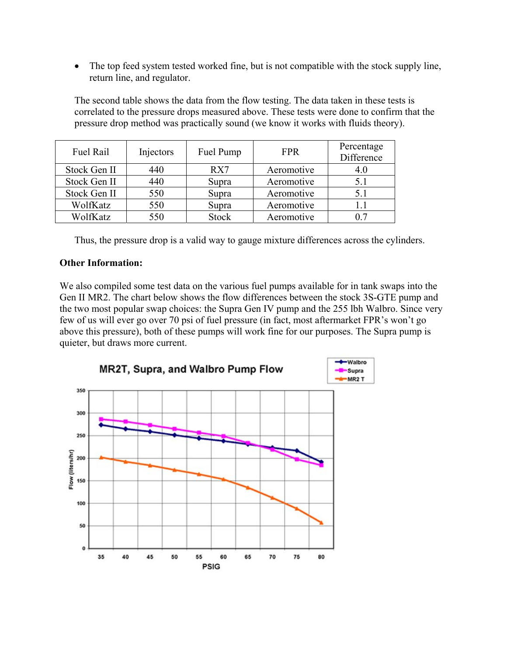• The top feed system tested worked fine, but is not compatible with the stock supply line, return line, and regulator.

The second table shows the data from the flow testing. The data taken in these tests is correlated to the pressure drops measured above. These tests were done to confirm that the pressure drop method was practically sound (we know it works with fluids theory).

| Fuel Rail    | Injectors | Fuel Pump    | <b>FPR</b> | Percentage<br>Difference |
|--------------|-----------|--------------|------------|--------------------------|
| Stock Gen II | 440       | RX7          | Aeromotive |                          |
| Stock Gen II | 440       | Supra        | Aeromotive | 5.1                      |
| Stock Gen II | 550       | Supra        | Aeromotive | 5.1                      |
| WolfKatz     | 550       | Supra        | Aeromotive |                          |
| WolfKatz     | 550       | <b>Stock</b> | Aeromotive |                          |

Thus, the pressure drop is a valid way to gauge mixture differences across the cylinders.

### **Other Information:**

We also compiled some test data on the various fuel pumps available for in tank swaps into the Gen II MR2. The chart below shows the flow differences between the stock 3S-GTE pump and the two most popular swap choices: the Supra Gen IV pump and the 255 lbh Walbro. Since very few of us will ever go over 70 psi of fuel pressure (in fact, most aftermarket FPR's won't go above this pressure), both of these pumps will work fine for our purposes. The Supra pump is quieter, but draws more current.